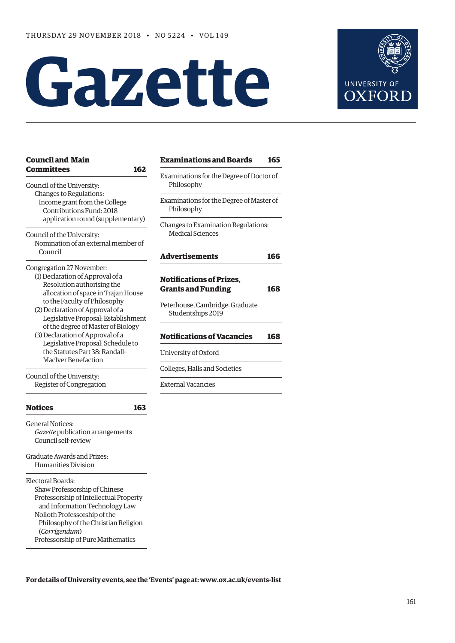# **Gazette**



| <b>Council and Main</b><br><b>Committees</b><br>162                                                                                                                                                                                                          | <b>Examinations and Boards</b>                                                                  | 165 |
|--------------------------------------------------------------------------------------------------------------------------------------------------------------------------------------------------------------------------------------------------------------|-------------------------------------------------------------------------------------------------|-----|
| Council of the University:                                                                                                                                                                                                                                   | Examinations for the Degree of Doctor of<br>Philosophy                                          |     |
| Changes to Regulations:<br>Income grant from the College<br>Contributions Fund: 2018<br>application round (supplementary)                                                                                                                                    | Examinations for the Degree of Master of<br>Philosophy                                          |     |
| Council of the University:<br>Nomination of an external member of                                                                                                                                                                                            | Changes to Examination Regulations:<br><b>Medical Sciences</b>                                  |     |
| Council                                                                                                                                                                                                                                                      | <b>Advertisements</b>                                                                           | 166 |
| Congregation 27 November:<br>(1) Declaration of Approval of a<br>Resolution authorising the<br>allocation of space in Trajan House<br>to the Faculty of Philosophy                                                                                           | <b>Notifications of Prizes.</b><br><b>Grants and Funding</b><br>Peterhouse, Cambridge: Graduate | 168 |
| (2) Declaration of Approval of a<br>Legislative Proposal: Establishment<br>of the degree of Master of Biology<br>(3) Declaration of Approval of a                                                                                                            | Studentships 2019<br><b>Notifications of Vacancies</b>                                          | 168 |
| Legislative Proposal: Schedule to<br>the Statutes Part 38: Randall-<br><b>MacIver Benefaction</b>                                                                                                                                                            | University of Oxford                                                                            |     |
|                                                                                                                                                                                                                                                              | Colleges, Halls and Societies                                                                   |     |
| Council of the University:<br>Register of Congregation                                                                                                                                                                                                       | <b>External Vacancies</b>                                                                       |     |
| <b>Notices</b><br>163                                                                                                                                                                                                                                        |                                                                                                 |     |
| General Notices:<br>Gazette publication arrangements<br>Council self-review                                                                                                                                                                                  |                                                                                                 |     |
| Graduate Awards and Prizes:<br>Humanities Division                                                                                                                                                                                                           |                                                                                                 |     |
| Electoral Boards:<br>Shaw Professorship of Chinese<br>Professorship of Intellectual Property<br>and Information Technology Law<br>Nolloth Professorship of the<br>Philosophy of the Christian Religion<br>(Corrigendum)<br>Professorship of Pure Mathematics |                                                                                                 |     |

**For details of University events, see the 'Events' page at: [www.ox.ac.uk/events-list](http://www.ox.ac.uk/events-list)**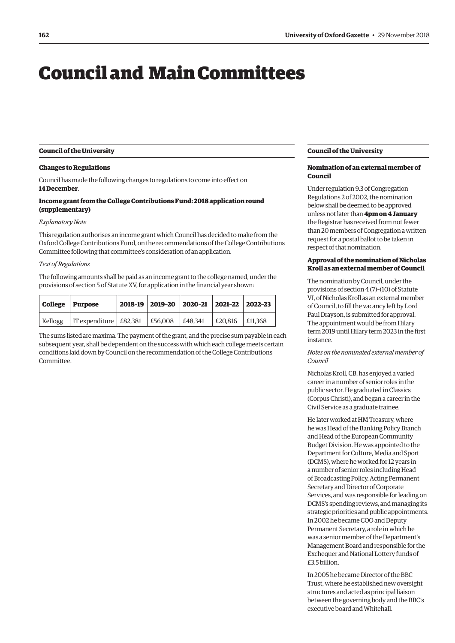## <span id="page-1-0"></span>Council and Main Committees

#### **Council of the University**

#### **Changes to Regulations**

Council has made the following changes to regulations to come into effect on **14 December**.

#### **Income grant from the College Contributions Fund: 2018 application round (supplementary)**

#### *Explanatory Note*

This regulation authorises an income grant which Council has decided to make from the Oxford College Contributions Fund, on the recommendations of the College Contributions Committee following that committee's consideration of an application.

#### *Text of Regulations*

The following amounts shall be paid as an income grant to the college named, under the provisions of section 5 of Statute XV, for application in the financial year shown:

|         | College   Purpose                            |  | 2018-19 2019-20 2020-21 2021-22 2022-23 |                 |  |
|---------|----------------------------------------------|--|-----------------------------------------|-----------------|--|
| Kellogg | IT expenditure   £82,381   £56,008   £48,341 |  |                                         | E20.816 E11.368 |  |

The sums listed are maxima. The payment of the grant, and the precise sum payable in each subsequent year, shall be dependent on the success with which each college meets certain conditions laid down by Council on the recommendation of the College Contributions Committee.

#### **Council of the University**

#### **Nomination of an external member of Council**

Under regulation 9.3 of Congregation Regulations 2 of 2002, the nomination below shall be deemed to be approved unless not later than **4pm on 4 January** the Registrar has received from not fewer than 20 members of Congregation a written request for a postal ballot to be taken in respect of that nomination.

#### **Approval of the nomination of Nicholas Kroll as an external member of Council**

The nomination by Council, under the provisions of section 4 (7)–(10) of Statute VI, of Nicholas Kroll as an external member of Council, to fill the vacancy left by Lord Paul Drayson, is submitted for approval. The appointment would be from Hilary term 2019 until Hilary term 2023 in the first instance.

#### *Notes on the nominated external member of Council*

Nicholas Kroll, CB, has enjoyed a varied career in a number of senior roles in the public sector. He graduated in Classics (Corpus Christi), and began a career in the Civil Service as a graduate trainee.

He later worked at HM Treasury, where he was Head of the Banking Policy Branch and Head of the European Community Budget Division. He was appointed to the Department for Culture, Media and Sport (DCMS), where he worked for 12 years in a number of senior roles including Head of Broadcasting Policy, Acting Permanent Secretary and Director of Corporate Services, and was responsible for leading on DCMS's spending reviews, and managing its strategic priorities and public appointments. In 2002 he became COO and Deputy Permanent Secretary, a role in which he was a senior member of the Department's Management Board and responsible for the Exchequer and National Lottery funds of £3.5 billion.

In 2005 he became Director of the BBC Trust, where he established new oversight structures and acted as principal liaison between the governing body and the BBC's executive board and Whitehall.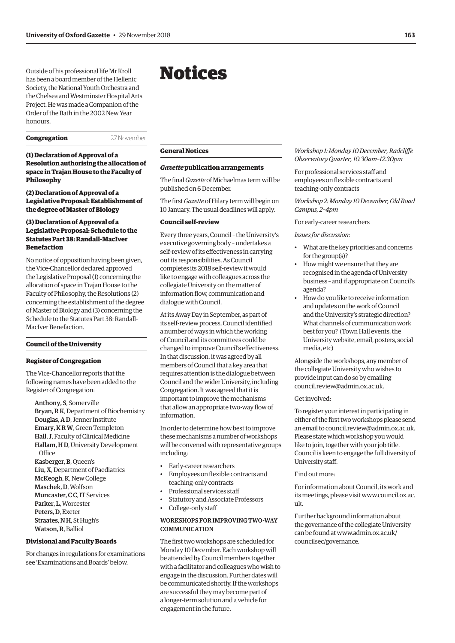<span id="page-2-0"></span>Outside of his professional life Mr Kroll has been a board member of the Hellenic Society, the National Youth Orchestra and the Chelsea and Westminster Hospital Arts Project. He was made a Companion of the Order of the Bath in the 2002 New Year honours.

**Congregation** 27 November

**(1) Declaration of Approval of a Resolution authorising the allocation of space in Trajan House to the Faculty of Philosophy**

#### **(2) Declaration of Approval of a Legislative Proposal: Establishment of the degree of Master of Biology**

#### **(3) Declaration of Approval of a Legislative Proposal: Schedule to the Statutes Part 38: Randall-MacIver Benefaction**

No notice of opposition having been given, the Vice-Chancellor declared approved the Legislative Proposal (1) concerning the allocation of space in Trajan House to the Faculty of Philosophy, the Resolutions (2) concerning the establishment of the degree of Master of Biology and (3) concerning the Schedule to the Statutes Part 38: Randall-MacIver Benefaction.

#### **Council of the University**

#### **Register of Congregation**

The Vice-Chancellor reports that the following names have been added to the Register of Congregation:

Anthony, S, Somerville Bryan, R K, Department of Biochemistry Douglas, A D, Jenner Institute Emary, K R W, Green Templeton Hall, J, Faculty of Clinical Medicine Hallam, H D, University Development **Office** Kasberger, B, Queen's Liu, X, Department of Paediatrics McKeogh, K, New College Maschek, D, Wolfson Muncaster, C C, IT Services Parker, L, Worcester Peters, D, Exeter Straates, N H, St Hugh's

Watson, R, Balliol

#### **Divisional and Faculty Boards**

For changes in regulations for examinations see 'Examinations and Boards' below.

## Notices

#### **General Notices**

#### *Gazette* **publication arrangements**

The final *Gazette* of Michaelmas term will be published on 6 December.

The first *Gazette* of Hilary term will begin on 10 January. The usual deadlines will apply.

#### **Council self-review**

Every three years, Council – the University's executive governing body – undertakes a self-review of its effectiveness in carrying out its responsibilities. As Council completes its 2018 self-review it would like to engage with colleagues across the collegiate University on the matter of information flow, communication and dialogue with Council.

At its Away Day in September, as part of its self-review process, Council identified a number of ways in which the working of Council and its committees could be changed to improve Council's effectiveness. In that discussion, it was agreed by all members of Council that a key area that requires attention is the dialogue between Council and the wider University, including Congregation. It was agreed that it is important to improve the mechanisms that allow an appropriate two-way flow of information.

In order to determine how best to improve these mechanisms a number of workshops will be convened with representative groups including:

- Early-career researchers
- Employees on flexible contracts and teaching-only contracts
- Professional services staff
- Statutory and Associate Professors
- College-only staff

#### WORKSHOPS FOR IMPROVING TWO-WAY **COMMUNICATION**

The first two workshops are scheduled for Monday 10 December. Each workshop will be attended by Council members together with a facilitator and colleagues who wish to engage in the discussion. Further dates will be communicated shortly. If the workshops are successful they may become part of a longer-term solution and a vehicle for engagement in the future.

*Workshop 1: Monday 10 December, Radcliffe Observatory Quarter, 10.30am–12.30pm* 

For professional services staff and employees on flexible contracts and teaching-only contracts

*Workshop 2: Monday 10 December, Old Road Campus, 2–4pm*

#### For early-career researchers

#### *Issues for discussion*:

- What are the key priorities and concerns for the group(s)?
- How might we ensure that they are recognised in the agenda of University business – and if appropriate on Council's agenda?
- How do you like to receive information and updates on the work of Council and the University's strategic direction? What channels of communication work best for you? (Town Hall events, the University website, email, posters, social media, etc)

Alongside the workshops, any member of the collegiate University who wishes to provide input can do so by emailing [council.review@admin.ox.ac.uk.](mailto:council.review@admin.ox.ac.uk)

#### Get involved:

To register your interest in participating in either of the first two workshops please send an email to [council.review@admin.ox.ac.uk.](mailto:council.review@admin.ox.ac.uk)  Please state which workshop you would like to join, together with your job title. Council is keen to engage the full diversity of University staff.

#### Find out more:

For information about Council, its work and [its meetings, please visit www.council.ox.ac.](www.council.ox.ac.uk) uk.

Further background information about the governance of the collegiate University [can be found at www.admin.ox.ac.uk/](www.admin.ox.ac.uk/councilsec/governance) councilsec/governance.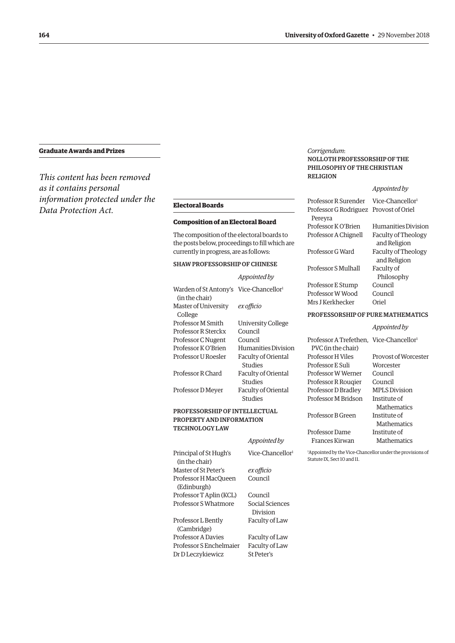#### **Graduate Awards and Prizes**

*This content has been removed as it contains personal information protected under the Data Protection Act.* **Electoral Boards**

#### **Composition of an Electoral Board**

The composition of the electoral boards to the posts below, proceedings to fill which are currently in progress, are as follows:

#### SHAW PROFESSORSHIP OF CHINESE

|                                                                      | Appointed by                   |
|----------------------------------------------------------------------|--------------------------------|
| Warden of St Antony's Vice-Chancellor <sup>1</sup><br>(in the chair) |                                |
| Master of University<br>College                                      | ex officio                     |
| Professor M Smith                                                    | University College             |
| Professor R Sterckx                                                  | Council                        |
| Professor C Nugent                                                   | Council                        |
| Professor K O'Brien                                                  | Humanities Division            |
| Professor U Roesler                                                  | Faculty of Oriental<br>Studies |
| Professor R Chard                                                    | Faculty of Oriental<br>Studies |
| Professor D Meyer                                                    | Faculty of Oriental<br>Studies |

#### PROFESSORSHIP OF INTELLECTUAL PROPERTY AND INFORMATION TECHNOLOGY LAW

|                                          | Appointed by                 | Fr                        |
|------------------------------------------|------------------------------|---------------------------|
| Principal of St Hugh's<br>(in the chair) | Vice-Chancellor <sup>1</sup> | <sup>1</sup> App<br>Statı |
| Master of St Peter's                     | ex officio                   |                           |
| Professor H MacQueen                     | Council                      |                           |
| (Edinburgh)                              |                              |                           |
| Professor T Aplin (KCL)                  | Council                      |                           |
| Professor S Whatmore                     | Social Sciences<br>Division  |                           |
| Professor L Bently                       | Faculty of Law               |                           |
| (Cambridge)                              |                              |                           |
| <b>Professor A Davies</b>                | Faculty of Law               |                           |
| Professor S Enchelmaier                  | Faculty of Law               |                           |
| Dr D Leczykiewicz                        | St Peter's                   |                           |

#### *Corrigendum*: NOLLOTH PROFESSORSHIP OF THE PHILOSOPHY OF THE CHRISTIAN RELIGION

#### *Appointed by*

| Professor R Surender Vice-Chancellor   |                     |
|----------------------------------------|---------------------|
| Professor G Rodriguez Provost of Oriel |                     |
| Pereyra                                |                     |
| Professor K O'Brien                    | Humanities Division |
| Professor A Chignell                   | Faculty of Theology |
|                                        | and Religion        |
| Professor G Ward                       | Faculty of Theology |
|                                        | and Religion        |
| Professor S Mulhall                    | Faculty of          |
|                                        | Philosophy          |
| Professor E Stump                      | Council             |
| Professor W Wood                       | Council             |
| Mrs I Kerkhecker                       | Oriel               |
|                                        |                     |

#### PROFESSORSHIP OF PURE MATHEMATICS

|                                                     | Appointed by         |
|-----------------------------------------------------|----------------------|
| Professor A Trefethen. Vice-Chancellor <sup>1</sup> |                      |
| PVC (in the chair)                                  |                      |
| Professor H Viles                                   | Provost of Worcester |
| Professor E Suli                                    | Worcester            |
| Professor W Werner                                  | Council              |
| Professor R Rougier                                 | Council              |
| Professor D Bradley                                 | <b>MPLS</b> Division |
| Professor M Bridson                                 | Institute of         |
|                                                     | Mathematics          |
| Professor B Green                                   | Institute of         |
|                                                     | Mathematics          |
| Professor Dame                                      | Institute of         |
| Frances Kirwan                                      | Mathematics          |
|                                                     |                      |

pointed by the Vice-Chancellor under the provisions of  $\overline{\text{S}}$ ute IX, Sect 10 and 11.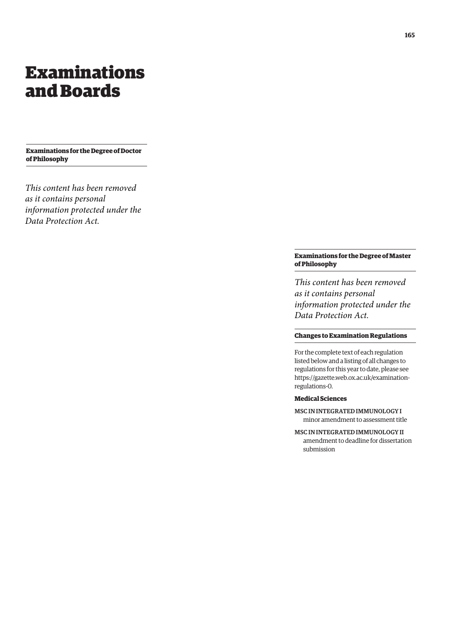## <span id="page-4-0"></span>Examinations and Boards

**Examinations for the Degree of Doctor of Philosophy**

*This content has been removed as it contains personal information protected under the Data Protection Act.*

#### **Examinations for the Degree of Master of Philosophy**

*This content has been removed as it contains personal information protected under the Data Protection Act.*

#### **Changes to Examination Regulations**

For the complete text of each regulation listed below and a listing of all changes to regulations for this year to date, please see [https://gazette.web.ox.ac.uk/examination](https://gazette.web.ox.ac.uk/examination-regulations-0)regulations-0.

### **Medical Sciences**

- MSC IN INTEGRATED IMMUNOLOGY I minor amendment to assessment title
- MSC IN INTEGRATED IMMUNOLOGY II amendment to deadline for dissertation submission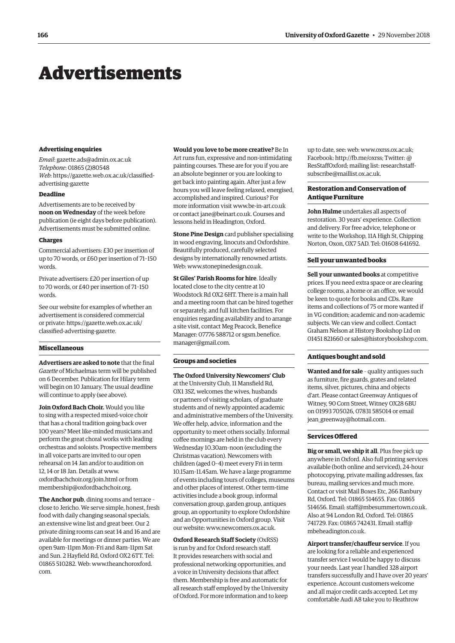## <span id="page-5-0"></span>Advertisements

#### **Advertising enquiries**

*Email*: [gazette.ads@admin.ox.ac.uk](mailto:gazette.ads@admin.ox.ac.uk) *Telephone*: 01865 (2)80548 *Web*[: https://gazette.web.ox.ac.uk/classified](https://gazette.web.ox.ac.uk/classified-advertising-gazette)advertising-gazette

#### **Deadline**

Advertisements are to be received by **noon on Wednesday** of the week before publication (ie eight days before publication). Advertisements must be submitted online.

#### **Charges**

Commercial advertisers: £30 per insertion of up to 70 words, or £60 per insertion of 71–150 words.

Private advertisers: £20 per insertion of up to 70 words, or £40 per insertion of 71–150 words.

See our website for examples of whether an advertisement is considered commercial [or private: https://gazette.web.ox.ac.uk/](https://gazette.web.ox.ac.uk/classified-advertising-gazette) classified-advertising-gazette.

#### **Miscellaneous**

**Advertisers are asked to note** that the final *Gazette* of Michaelmas term will be published on 6 December. Publication for Hilary term will begin on 10 January. The usual deadline will continue to apply (see above).

**Join Oxford Bach Choir.** Would you like to sing with a respected mixed-voice choir that has a choral tradition going back over 100 years? Meet like-minded musicians and perform the great choral works with leading orchestras and soloists. Prospective members in all voice parts are invited to our open rehearsal on 14 Jan and/or to audition on 12, 14 or 18 Jan. Details at [www.](http://www.oxfordbachchoir.org/join.html) [oxfordbachchoir.org/join.html or](http://www.oxfordbachchoir.org/join.html) from [membership@oxfordbachchoir.org.](mailto:membership@oxfordbachchoir.org)

**The Anchor pub**, dining rooms and terrace – close to Jericho. We serve simple, honest, fresh food with daily changing seasonal specials, an extensive wine list and great beer. Our 2 private dining rooms can seat 14 and 16 and are available for meetings or dinner parties. We are open 9am–11pm Mon–Fri and 8am–11pm Sat and Sun. 2 Hayfield Rd, Oxford OX2 6TT. Tel: [01865 510282. Web: www.theanchoroxford.](www.theanchoroxford.com) com.

#### **Would you love to be more creative?** Be In

Art runs fun, expressive and non-intimidating painting courses. These are for you if you are an absolute beginner or you are looking to get back into painting again. After just a few hours you will leave feeling relaxed, energised, accomplished and inspired. Curious? For more information visit [www.be-in-art.co.uk](http://www.be-in-art.co.uk)  or contact [jane@beinart.co.uk. Co](mailto:jane@beinart.co.uk)urses and lessons held in Headington, Oxford.

**Stone Pine Design** card publisher specialising in wood engraving, linocuts and Oxfordshire. Beautifully produced, carefully selected designs by internationally renowned artists. Web: [www.stonepinedesign.co.uk.](http://www.stonepinedesign.co.uk)

**St Giles' Parish Rooms for hire**. Ideally located close to the city centre at 10 Woodstock Rd OX2 6HT. There is a main hall and a meeting room that can be hired together or separately, and full kitchen facilities. For enquiries regarding availability and to arrange a site visit, contact Meg Peacock, Benefice [Manager: 07776 588712 or sgsm.benefice.](mailto:sgsm.benefice.manager@gmail.com) manager@gmail.com.

#### **Groups and societies**

**The Oxford University Newcomers' Club**  at the University Club, 11 Mansfield Rd, OX1 3SZ, welcomes the wives, husbands or partners of visiting scholars, of graduate students and of newly appointed academic and administrative members of the University. We offer help, advice, information and the opportunity to meet others socially. Informal coffee mornings are held in the club every Wednesday 10.30am–noon (excluding the Christmas vacation). Newcomers with children (aged 0–4) meet every Fri in term 10.15am–11.45am. We have a large programme of events including tours of colleges, museums and other places of interest. Other term-time activities include a book group, informal conversation group, garden group, antiques group, an opportunity to explore Oxfordshire and an Opportunities in Oxford group. Visit our website: [www.newcomers.ox.ac.uk.](http://www.newcomers.ox.ac.uk) 

**Oxford Research Staff Society** (OxRSS) is run by and for Oxford research staff. It provides researchers with social and professional networking opportunities, and a voice in University decisions that affect them. Membership is free and automatic for all research staff employed by the University of Oxford. For more information and to keep

up to date, see: web: [www.oxrss.ox.ac.uk;](http://www.oxrss.ox.ac.uk)  Facebook: [http://fb.me/oxrss; Tw](http://fb.me/oxrss)itter: @ [ResStaffOxford; mailing list: researchstaff](mailto:researchstaff-subscribe@maillist.ox.ac.uk)subscribe@maillist.ox.ac.uk.

#### **Restoration and Conservation of Antique Furniture**

**John Hulme** undertakes all aspects of restoration. 30 years' experience. Collection and delivery. For free advice, telephone or write to the Workshop, 11A High St, Chipping Norton, Oxon, OX7 5AD. Tel: 01608 641692.

#### **Sell your unwanted books**

**Sell your unwanted books** at competitive prices. If you need extra space or are clearing college rooms, a home or an office, we would be keen to quote for books and CDs. Rare items and collections of 75 or more wanted if in VG condition; academic and non-academic subjects. We can view and collect. Contact Graham Nelson at History Bookshop Ltd on 01451 821660 or [sales@historybookshop.com.](mailto:sales@historybookshop.com)

#### **Antiques bought and sold**

**Wanted and for sale** – quality antiques such as furniture, fire guards, grates and related items, silver, pictures, china and objects d'art. Please contact Greenway Antiques of Witney, 90 Corn Street, Witney OX28 6BU on 01993 705026, 07831 585014 or email [jean\\_greenway@hotmail.com.](mailto:jean_greenway@hotmail.com)

#### **Services Offered**

**Big or small, we ship it all**. Plus free pick up anywhere in Oxford. Also full printing services available (both online and serviced), 24-hour photocopying, private mailing addresses, fax bureau, mailing services and much more. Contact or visit Mail Boxes Etc, 266 Banbury Rd, Oxford. Tel: 01865 514655. Fax: 01865 514656. Email: [staff@mbesummertown.co.uk.](mailto:staff@mbesummertown.co.uk)  Also at 94 London Rd, Oxford. Tel: 01865 [741729. Fax: 01865 742431. Email: staff@](mailto:staff@mbeheadington.co.uk) mbeheadington.co.uk.

**Airport transfer/chauffeur service**. If you are looking for a reliable and experienced transfer service I would be happy to discuss your needs. Last year I handled 328 airport transfers successfully and I have over 20 years' experience. Account customers welcome and all major credit cards accepted. Let my comfortable Audi A8 take you to Heathrow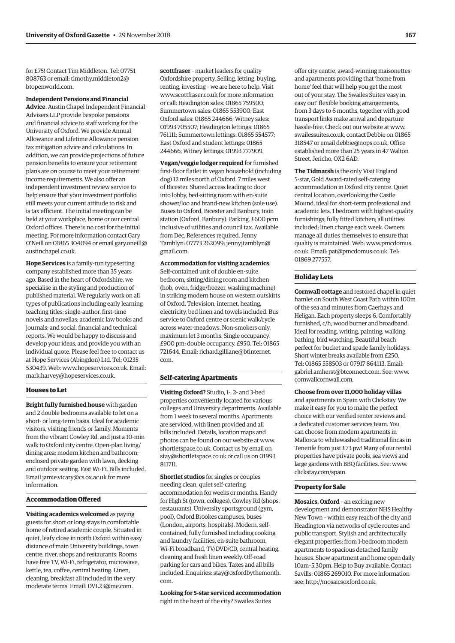for £75! Contact Tim Middleton. Tel: 07751 [808763 or email: timothy.middleton2@](mailto:timothy.middleton2@btopenworld.com) btopenworld.com.

#### **Independent Pensions and Financial**

**Advice**. Austin Chapel Independent Financial Advisers LLP provide bespoke pensions and financial advice to staff working for the University of Oxford. We provide Annual Allowance and Lifetime Allowance pension tax mitigation advice and calculations. In addition, we can provide projections of future pension benefits to ensure your retirement plans are on course to meet your retirement income requirements. We also offer an independent investment review service to help ensure that your investment portfolio still meets your current attitude to risk and is tax efficient. The initial meeting can be held at your workplace, home or our central Oxford offices. There is no cost for the initial meeting. For more information contact Gary [O'Neill on 01865 304094 or email gary.oneill@](mailto:gary.oneill@austinchapel.co.uk) austinchapel.co.uk.

**Hope Services** is a family-run typesetting company established more than 35 years ago. Based in the heart of Oxfordshire, we specialise in the styling and production of published material. We regularly work on all types of publications including early learning teaching titles; single-author, first-time novels and novellas; academic law books and journals; and social, financial and technical reports. We would be happy to discuss and develop your ideas, and provide you with an individual quote. Please feel free to contact us at Hope Services (Abingdon) Ltd. Tel: 01235 530439. Web: [www.hopeservices.co.uk. Em](http://www.hopeservices.co.uk)ail: [mark.harvey@hopeservices.co.uk.](mailto:mark.harvey@hopeservices.co.uk)

#### **Houses to Let**

**Bright fully furnished house** with garden and 2 double bedrooms available to let on a short- or long-term basis. Ideal for academic visitors, visiting friends or family. Moments from the vibrant Cowley Rd, and just a 10-min walk to Oxford city centre. Open-plan living/ dining area; modern kitchen and bathroom; enclosed private garden with lawn, decking and outdoor seating. Fast Wi-Fi. Bills included. Email [jamie.vicary@cs.ox.ac.uk fo](mailto:jamie.vicary@cs.ox.ac.uk)r more information.

#### **Accommodation Offered**

**Visiting academics welcomed** as paying guests for short or long stays in comfortable home of retired academic couple. Situated in quiet, leafy close in north Oxford within easy distance of main University buildings, town centre, river, shops and restaurants. Rooms have free TV, Wi-Fi, refrigerator, microwave, kettle, tea, coffee, central heating. Linen, cleaning, breakfast all included in the very moderate terms. Email: [DVL23@me.com.](mailto:DVL23@me.com)

**scottfraser** – market leaders for quality Oxfordshire property. Selling, letting, buying, renting, investing – we are here to help. Visit [www.scottfraser.co.uk fo](http://www.scottfraser.co.uk)r more information or call: Headington sales: 01865 759500; Summertown sales: 01865 553900; East Oxford sales: 01865 244666; Witney sales: 01993 705507; Headington lettings: 01865 761111; Summertown lettings: 01865 554577; East Oxford and student lettings: 01865 244666; Witney lettings: 01993 777909.

**Vegan/veggie lodger required** for furnished first-floor flatlet in vegan household (including dog) 12 miles north of Oxford, 7 miles west of Bicester. Shared access leading to door into lobby, bed-sitting room with en-suite shower/loo and brand-new kitchen (sole use). Buses to Oxford, Bicester and Banbury, train station (Oxford, Banbury). Parking. £600 pcm inclusive of utilities and council tax. Available from Dec. References required. Jenny [Tamblyn: 07773 262099; jennyjtamblyn@](mailto:jennyjtamblyn@gmail.com) gmail.com.

#### **Accommodation for visiting academics**.

Self-contained unit of double en-suite bedroom, sitting/dining room and kitchen (hob, oven, fridge/freezer, washing machine) in striking modern house on western outskirts of Oxford. Television, internet, heating, electricity, bed linen and towels included. Bus service to Oxford centre or scenic walk/cycle across water-meadows. Non-smokers only, maximum let 3 months. Single occupancy, £900 pm; double occupancy, £950. Tel: 01865 [721644. Email: richard.gilliane@btinternet.](mailto:richard.gilliane@btinternet.com) com.

#### **Self-catering Apartments**

**Visiting Oxford?** Studio, 1-, 2- and 3-bed properties conveniently located for various colleges and University departments. Available from 1 week to several months. Apartments are serviced, with linen provided and all bills included. Details, location maps and photos can be found on our website at [www.](http://www.shortletspace.co.uk) [shortletspace.co.uk. Co](http://www.shortletspace.co.uk)ntact us by email on [stay@shortletspace.co.uk or](mailto:stay@shortletspace.co.uk) call us on 01993 811711.

**Shortlet studios** for singles or couples needing clean, quiet self-catering accommodation for weeks or months. Handy for High St (town, colleges), Cowley Rd (shops, restaurants), University sportsground (gym, pool), Oxford Brookes campuses, buses (London, airports, hospitals). Modern, selfcontained, fully furnished including cooking and laundry facilities, en-suite bathroom, Wi-Fi broadband, TV/DVD/CD, central heating, cleaning and fresh linen weekly. Off-road parking for cars and bikes. Taxes and all bills [included. Enquiries: stay@oxfordbythemonth.](mailto:stay@oxfordbythemonth.com) com.

**Looking for 5-star serviced accommodation** right in the heart of the city? Swailes Suites

offer city centre, award-winning maisonettes and apartments providing that 'home from home' feel that will help you get the most out of your stay. The Swailes Suites 'easy in, easy out' flexible booking arrangements, from 3 days to 6 months, together with good transport links make arrival and departure hassle-free. Check out our website at [www.](http://www.swailessuites.co.uk) [swailessuites.co.uk, co](http://www.swailessuites.co.uk)ntact Debbie on 01865 318547 or email [debbie@nops.co.uk. Of](mailto:debbie@nops.co.uk)fice established more than 25 years in 47 Walton Street, Jericho, OX2 6AD.

**The Tidmarsh** is the only Visit England 5-star, Gold Award-rated self-catering accommodation in Oxford city centre. Quiet central location, overlooking the Castle Mound, ideal for short-term professional and academic lets. 1 bedroom with highest-quality furnishings; fully fitted kitchen; all utilities included; linen change each week. Owners manage all duties themselves to ensure that quality is maintained. Web: [www.pmcdomus.](http://www.pmcdomus.co.uk) co.uk. Email: [pat@pmcdomus.co.uk. Te](mailto:pat@pmcdomus.co.uk)l: 01869 277557.

#### **Holiday Lets**

**Cornwall cottage** and restored chapel in quiet hamlet on South West Coast Path within 100m of the sea and minutes from Caerhays and Heligan. Each property sleeps 6. Comfortably furnished, c/h, wood burner and broadband. Ideal for reading, writing, painting, walking, bathing, bird watching. Beautiful beach perfect for bucket and spade family holidays. Short winter breaks available from £250. Tel: 01865 558503 or 07917 864113. Email: [gabriel.amherst@btconnect.com. Se](mailto:gabriel.amherst@btconnect.com)e: [www.](http://www.cornwallcornwall.com) [cornwallcornwall.com.](http://www.cornwallcornwall.com)

**Choose from over 11,000 holiday villas**  and apartments in Spain with Clickstay. We make it easy for you to make the perfect choice with our verified renter reviews and a dedicated customer services team. You can choose from modern apartments in Mallorca to whitewashed traditional fincas in Tenerife from just £73 pw! Many of our rental properties have private pools, sea views and large gardens with BBQ facilities. See: [www.](http://www.clickstay.com/spain) [clickstay.com/spain.](http://www.clickstay.com/spain)

#### **Property for Sale**

**Mosaics, Oxford** – an exciting new development and demonstrator NHS Healthy New Town – within easy reach of the city and Headington via networks of cycle routes and public transport. Stylish and architecturally elegant properties: from 1-bedroom modern apartments to spacious detached family houses. Show apartment and home open daily 10am–5.30pm. Help to Buy available. Contact Savills: 01865 269010. For more information see: [http://mosaicsoxford.co.uk.](http://mosaicsoxford.co.uk)